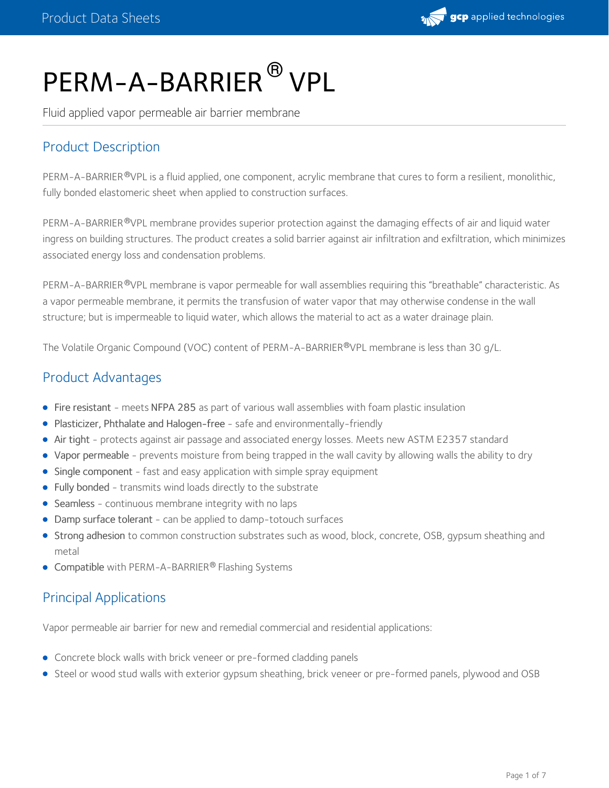

# PERM-A-BARRIER  $^\circledR$  VPL

Fluid applied vapor permeable air barrier membrane

## Product Description

PERM-A-BARRIER®VPL is a fluid applied, one component, acrylic membrane that cures to form a resilient, monolithic, fully bonded elastomeric sheet when applied to construction surfaces.

PERM-A-BARRIER®VPL membrane provides superior protection against the damaging effects of air and liquid water ingress on building structures. The product creates a solid barrier against air infiltration and exfiltration, which minimizes associated energy loss and condensation problems.

PERM-A-BARRIER®VPL membrane is vapor permeable for wall assemblies requiring this "breathable" characteristic. As a vapor permeable membrane, it permits the transfusion of water vapor that may otherwise condense in the wall structure; but is impermeable to liquid water, which allows the material to act as a water drainage plain.

The Volatile Organic Compound (VOC) content of PERM-A-BARRIER®VPL membrane is less than 30 g/L.

## Product Advantages

- Fire resistant meets NFPA 285 as part of various wall assemblies with foam plastic insulation
- Plasticizer, Phthalate and Halogen-free safe and environmentally-friendly
- Air tight protects against air passage and associated energy losses. Meets new ASTM E2357 standard
- Vapor permeable prevents moisture from being trapped in the wall cavity by allowing walls the ability to dry
- Single component fast and easy application with simple spray equipment
- Fully bonded transmits wind loads directly to the substrate
- Seamless continuous membrane integrity with no laps
- Damp surface tolerant can be applied to damp-totouch surfaces
- Strong adhesion to common construction substrates such as wood, block, concrete, OSB, gypsum sheathing and metal
- Compatible with PERM-A-BARRIER® Flashing Systems

## Principal Applications

Vapor permeable air barrier for new and remedial commercial and residential applications:

- Concrete block walls with brick veneer or pre-formed cladding panels
- Steel or wood stud walls with exterior gypsum sheathing, brick veneer or pre-formed panels, plywood and OSB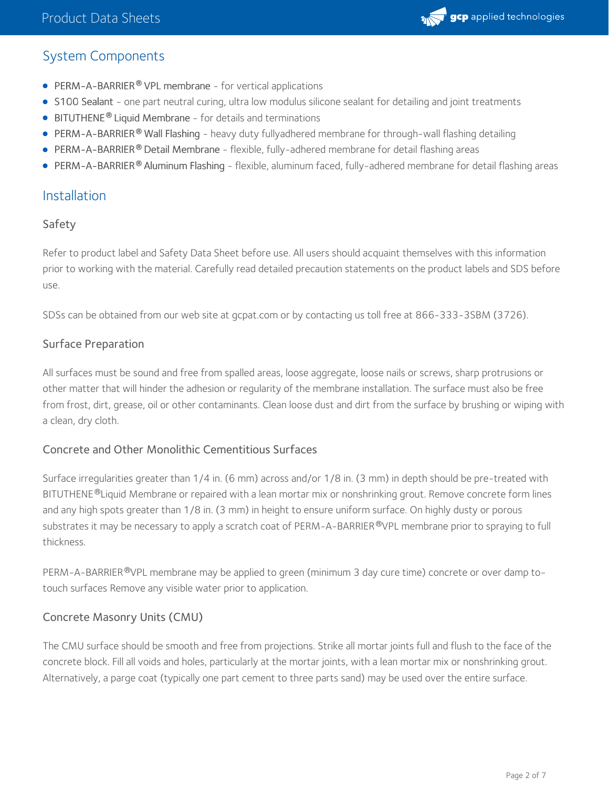## System Components

- **PERM-A-BARRIER<sup>®</sup> VPL membrane for vertical applications**
- S100 Sealant one part neutral curing, ultra low modulus silicone sealant for detailing and joint treatments
- **BITUTHENE<sup>®</sup> Liquid Membrane** for details and terminations
- PERM-A-BARRIER Wall Flashing heavy duty fullyadhered membrane for through-wall flashing detailing **®**
- **PERM-A-BARRIER® Detail Membrane** flexible, fully-adhered membrane for detail flashing areas
- **PERM-A-BARRIER<sup>®</sup> Aluminum Flashing flexible, aluminum faced, fully-adhered membrane for detail flashing areas**

## Installation

## Safety

Refer to product label and Safety Data Sheet before use. All users should acquaint themselves with this information prior to working with the material. Carefully read detailed precaution statements on the product labels and SDS before use.

SDSs can be obtained from our web site at gcpat.com or by contacting us toll free at 866-333-3SBM (3726).

## Surface Preparation

All surfaces must be sound and free from spalled areas, loose aggregate, loose nails or screws, sharp protrusions or other matter that will hinder the adhesion or regularity of the membrane installation. The surface must also be free from frost, dirt, grease, oil or other contaminants. Clean loose dust and dirt from the surface by brushing or wiping with a clean, dry cloth.

#### Concrete and Other Monolithic Cementitious Surfaces

Surface irregularities greater than 1/4 in. (6 mm) across and/or 1/8 in. (3 mm) in depth should be pre-treated with BITUTHENE®Liquid Membrane or repaired with a lean mortar mix or nonshrinking grout. Remove concrete form lines and any high spots greater than 1/8 in. (3 mm) in height to ensure uniform surface. On highly dusty or porous substrates it may be necessary to apply a scratch coat of PERM-A-BARRIER®VPL membrane prior to spraying to full thickness.

PERM-A-BARRIER®VPL membrane may be applied to green (minimum 3 day cure time) concrete or over damp totouch surfaces Remove any visible water prior to application.

## Concrete Masonry Units (CMU)

The CMU surface should be smooth and free from projections. Strike all mortar joints full and flush to the face of the concrete block. Fill all voids and holes, particularly at the mortar joints, with a lean mortar mix or nonshrinking grout. Alternatively, a parge coat (typically one part cement to three parts sand) may be used over the entire surface.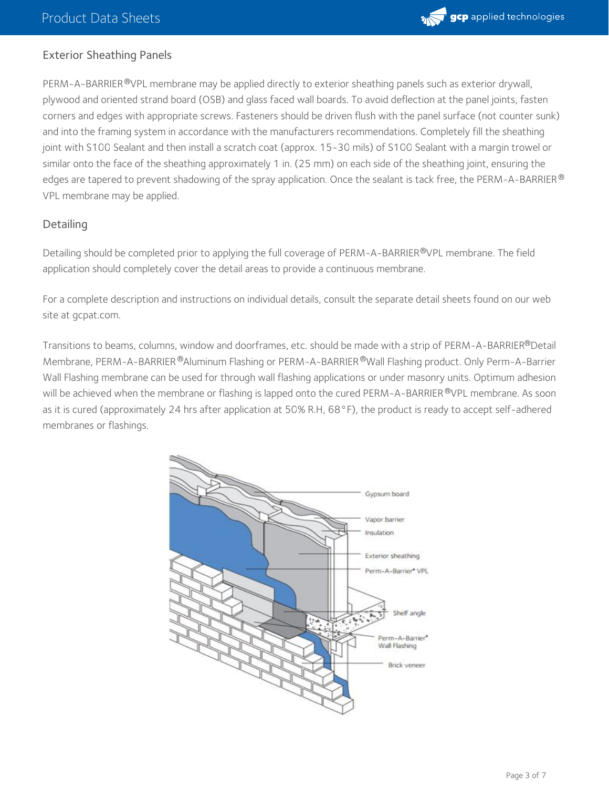

#### Exterior Sheathing Panels

PERM-A-BARRIER <sup>®</sup>VPL membrane may be applied directly to exterior sheathing panels such as exterior drywall, plywood and oriented strand board (OSB) and glass faced wall boards. To avoid deflection at the panel joints, fasten corners and edges with appropriate screws. Fasteners should be driven flush with the panel surface (not counter sunk) and into the framing system in accordance with the manufacturers recommendations. Completely fill the sheathing joint with S100 Sealant and then install a scratch coat (approx. 15-30 mils) of S100 Sealant with a margin trowel or similar onto the face of the sheathing approximately 1 in. (25 mm) on each side of the sheathing joint, ensuring the edges are tapered to prevent shadowing of the spray application. Once the sealant is tack free, the PERM-A-BARRIER  $^\circ$ VPL membrane may be applied.

#### **Detailing**

Detailing should be completed prior to applying the full coverage of PERM-A-BARRIER®VPL membrane. The field application should completely cover the detail areas to provide a continuous membrane.

For a complete description and instructions on individual details, consult the separate detail sheets found on our web site at gcpat.com.

Transitions to beams, columns, window and doorframes, etc. should be made with a strip of PERM-A-BARRIER®Detail Membrane, PERM-A-BARRIER ®Aluminum Flashing or PERM-A-BARRIER ®Wall Flashing product. Only Perm-A-Barrier Wall Flashing membrane can be used for through wall flashing applications or under masonry units. Optimum adhesion will be achieved when the membrane or flashing is lapped onto the cured PERM-A-BARRIER®VPL membrane. As soon as it is cured (approximately 24 hrs after application at 50% R.H, 68°F), the product is ready to accept self-adhered membranes or flashings.

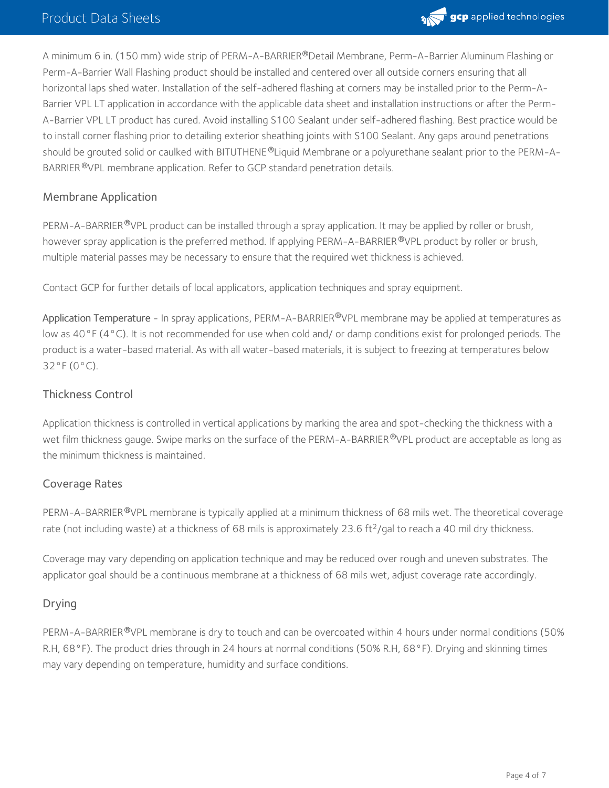

A minimum 6 in. (150 mm) wide strip of PERM-A-BARRIER®Detail Membrane, Perm-A-Barrier Aluminum Flashing or Perm-A-Barrier Wall Flashing product should be installed and centered over all outside corners ensuring that all horizontal laps shed water. Installation of the self-adhered flashing at corners may be installed prior to the Perm-A- Barrier VPL LT application in accordance with the applicable data sheet and installation instructions or after the Perm- A-Barrier VPL LT product has cured. Avoid installing S100 Sealant under self-adhered flashing. Best practice would be to install corner flashing prior to detailing exterior sheathing joints with S100 Sealant. Any gaps around penetrations should be grouted solid or caulked with BITUTHENE ®Liquid Membrane or a polyurethane sealant prior to the PERM-A-BARRIER <sup>®</sup>VPL membrane application. Refer to GCP standard penetration details.

#### Membrane Application

PERM-A-BARRIER <sup>®</sup>VPL product can be installed through a spray application. It may be applied by roller or brush, however spray application is the preferred method. If applying PERM-A-BARRIER ®VPL product by roller or brush, multiple material passes may be necessary to ensure that the required wet thickness is achieved.

Contact GCP for further details of local applicators, application techniques and spray equipment.

Application Temperature - In spray applications, PERM-A-BARRIER®VPL membrane may be applied at temperatures as low as 40°F (4°C). It is not recommended for use when cold and/ or damp conditions exist for prolonged periods. The product is a water-based material. As with all water-based materials, it is subject to freezing at temperatures below 32°F (0°C).

#### Thickness Control

Application thickness is controlled in vertical applications by marking the area and spot-checking the thickness with a wet film thickness gauge. Swipe marks on the surface of the PERM-A-BARRIER®VPL product are acceptable as long as the minimum thickness is maintained.

#### Coverage Rates

PERM-A-BARRIER®VPL membrane is typically applied at a minimum thickness of 68 mils wet. The theoretical coverage rate (not including waste) at a thickness of 68 mils is approximately 23.6 ft<sup>2</sup>/gal to reach a 40 mil dry thickness.

Coverage may vary depending on application technique and may be reduced over rough and uneven substrates. The applicator goal should be a continuous membrane at a thickness of 68 mils wet, adjust coverage rate accordingly.

#### Drying

PERM-A-BARRIER®VPL membrane is dry to touch and can be overcoated within 4 hours under normal conditions (50% R.H, 68°F). The product dries through in 24 hours at normal conditions (50% R.H, 68°F). Drying and skinning times may vary depending on temperature, humidity and surface conditions.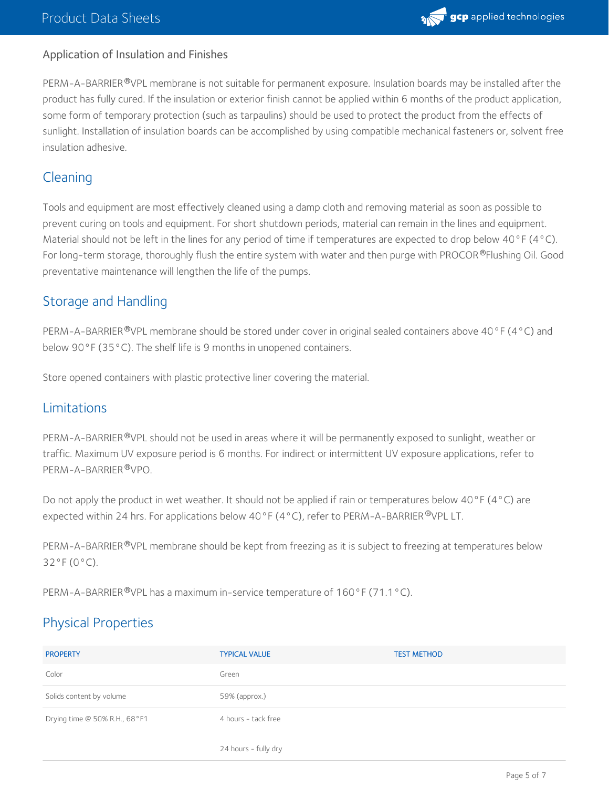#### Application of Insulation and Finishes

PERM-A-BARRIER®VPL membrane is not suitable for permanent exposure. Insulation boards may be installed after the product has fully cured. If the insulation or exterior finish cannot be applied within 6 months of the product application, some form of temporary protection (such as tarpaulins) should be used to protect the product from the effects of sunlight. Installation of insulation boards can be accomplished by using compatible mechanical fasteners or, solvent free insulation adhesive.

## **Cleaning**

Tools and equipment are most effectively cleaned using a damp cloth and removing material as soon as possible to prevent curing on tools and equipment. For short shutdown periods, material can remain in the lines and equipment. Material should not be left in the lines for any period of time if temperatures are expected to drop below 40°F (4°C). For long-term storage, thoroughly flush the entire system with water and then purge with PROCOR®Flushing Oil. Good preventative maintenance will lengthen the life of the pumps.

## Storage and Handling

PERM-A-BARRIER®VPL membrane should be stored under cover in original sealed containers above 40°F (4°C) and below 90°F (35°C). The shelf life is 9 months in unopened containers.

Store opened containers with plastic protective liner covering the material.

## Limitations

PERM-A-BARRIER®VPL should not be used in areas where it will be permanently exposed to sunlight, weather or traffic. Maximum UV exposure period is 6 months. For indirect or intermittent UV exposure applications, refer to PERM-A-BARRIER ®VPO.

Do not apply the product in wet weather. It should not be applied if rain or temperatures below 40°F (4°C) are expected within 24 hrs. For applications below 40°F (4°C), refer to PERM-A-BARRIER®VPL LT.

PERM-A-BARRIER®VPL membrane should be kept from freezing as it is subject to freezing at temperatures below 32°F (0°C).

PERM-A-BARRIER®VPL has a maximum in-service temperature of 160°F (71.1°C).

# Physical Properties

| <b>PROPERTY</b>               | <b>TYPICAL VALUE</b> | <b>TEST METHOD</b> |
|-------------------------------|----------------------|--------------------|
| Color                         | Green                |                    |
| Solids content by volume      | 59% (approx.)        |                    |
| Drying time @ 50% R.H., 68°F1 | 4 hours - tack free  |                    |
|                               | 24 hours - fully dry |                    |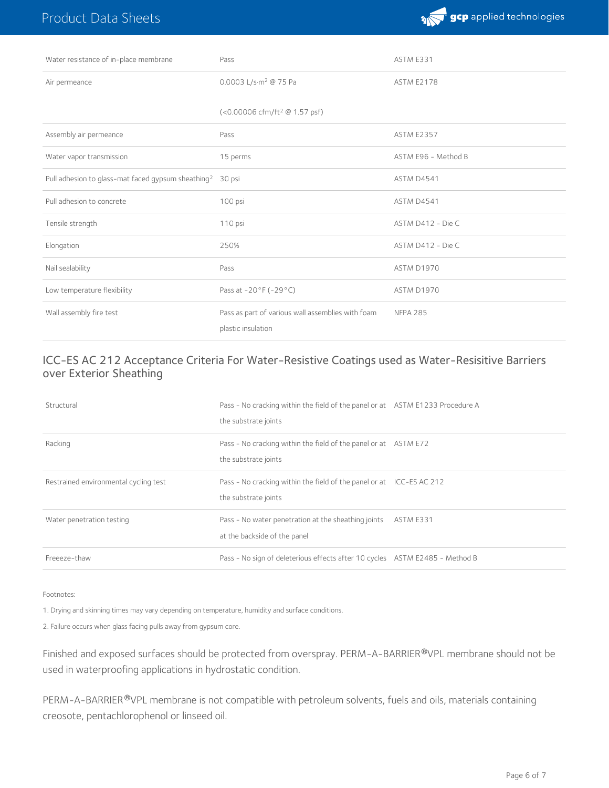

| Water resistance of in-place membrane                                 | Pass                                                                    | ASTM E331           |
|-----------------------------------------------------------------------|-------------------------------------------------------------------------|---------------------|
| Air permeance                                                         | 0.0003 L/s·m <sup>2</sup> @ 75 Pa                                       | <b>ASTM E2178</b>   |
|                                                                       | (<0.00006 cfm/ft <sup>2</sup> @ 1.57 psf)                               |                     |
| Assembly air permeance                                                | Pass                                                                    | <b>ASTM E2357</b>   |
| Water vapor transmission                                              | 15 perms                                                                | ASTM E96 - Method B |
| Pull adhesion to glass-mat faced gypsum sheathing <sup>2</sup> 30 psi |                                                                         | ASTM D4541          |
| Pull adhesion to concrete                                             | 100 psi                                                                 | ASTM D4541          |
| Tensile strength                                                      | 110 psi                                                                 | ASTM D412 - Die C   |
| Elongation                                                            | 250%                                                                    | ASTM D412 - Die C   |
| Nail sealability                                                      | Pass                                                                    | ASTM D1970          |
| Low temperature flexibility                                           | Pass at -20°F (-29°C)                                                   | ASTM D1970          |
| Wall assembly fire test                                               | Pass as part of various wall assemblies with foam<br>plastic insulation | <b>NFPA 285</b>     |

#### ICC-ES AC 212 Acceptance Criteria For Water-Resistive Coatings used as Water-Resisitive Barriers over Exterior Sheathing

| Structural                            | Pass - No cracking within the field of the panel or at ASTM E1233 Procedure A<br>the substrate joints |           |
|---------------------------------------|-------------------------------------------------------------------------------------------------------|-----------|
| Racking                               | Pass - No cracking within the field of the panel or at ASTM E72<br>the substrate joints               |           |
| Restrained environmental cycling test | Pass - No cracking within the field of the panel or at ICC-ES AC 212<br>the substrate joints          |           |
| Water penetration testing             | Pass - No water penetration at the sheathing joints<br>at the backside of the panel                   | ASTM E331 |
| Freeeze-thaw                          | Pass - No sign of deleterious effects after 10 cycles ASTM E2485 - Method B                           |           |

Footnotes:

1. Drying and skinning times may vary depending on temperature, humidity and surface conditions.

2. Failure occurs when glass facing pulls away from gypsum core.

Finished and exposed surfaces should be protected from overspray. PERM-A-BARRIER®VPL membrane should not be used in waterproofing applications in hydrostatic condition.

PERM-A-BARRIER®VPL membrane is not compatible with petroleum solvents, fuels and oils, materials containing creosote, pentachlorophenol or linseed oil.